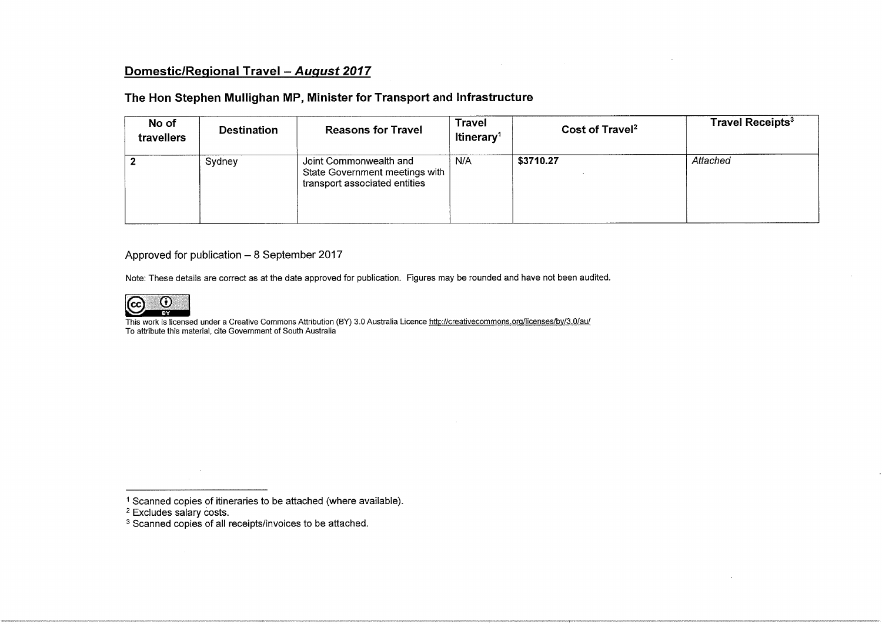# Domestic/Regional Travel - August 2017

## The Hon Stephen Mullighan MP, Minister for Transport and Infrastructure

| No of<br>travellers | <b>Reasons for Travel</b><br><b>Destination</b> |                                                                                           | Travel<br>Itinerary <sup>1</sup> | Cost of Travel <sup>2</sup> | <b>Travel Receipts<sup>3</sup></b> |  |
|---------------------|-------------------------------------------------|-------------------------------------------------------------------------------------------|----------------------------------|-----------------------------|------------------------------------|--|
|                     | Sydney                                          | Joint Commonwealth and<br>State Government meetings with<br>transport associated entities | N/A                              | \$3710.27                   | Attached                           |  |

### Approved for publication  $-8$  September 2017

Note: These details are correct as at the date approved for publication. Figures may be rounded and have not been audited.



This work is licensed under a Creative Commons Attribution (BY) 3.0 Australia Licence http://creativecommons.org/licenses/by/3.0/au/ To attribute this material, ate Government of South Australia

<sup>1</sup> Scanned copies of itineraries to be attached (where available)

2 Excludes salary costs.

<sup>3</sup> Scanned copies of all receipts/invoices to be attached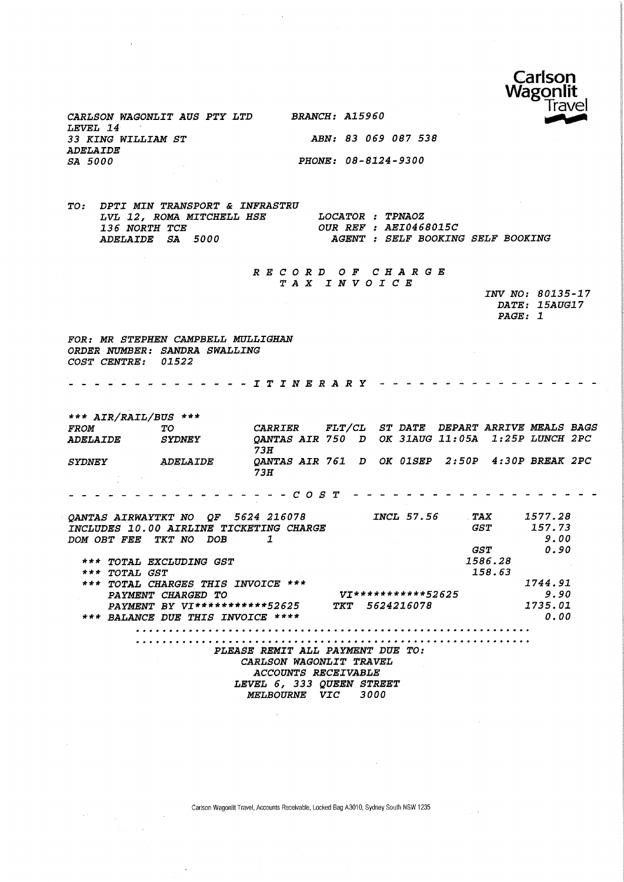

CARLSON WAGONLIT AUS PTY LTD BRANCH: A15960 LEVEL 14 33 KING WILLIAM ST ABN: 83 069 087 538 ADELAIDE SA 5000 PHONE: 08-8124-9300

TO: DPTI MIN TRANSPORT & INFRASTRU LVL 12, ROMA MITCHELL HSE LOCATOR : TPNAOZ<br>136 NORTH TCE 0UR REF : AEI046 136 NORTH TCE 61 CUR REF : AEI0468015C<br>
ADELAIDE SA 5000 AGENT : SELF BOOKING

AGENT : SELF BOOKING SELF BOOKING

#### RECORD OF CHARGE TAX INVOICE

INV NO: 80135-17 DATE: 15AUG17 PAGE: 1

FOR: MR STEPHEN CAMPBELL MULLIGHAN ORDER NUMBER: SANDRA SWALLING COST CENTRE: 01522

. . . . . . . . . . . . . *. T T N E R A R Y \_ \_ \_ \_ \_* .

\*\*\* AIR/RAIL/BUS \*\*\* FROM TO CARRIER FLT/CL ST\_DATE DEPART\_ARRIVE\_MEALS\_BAGS<br>ADELAIDE SYDNEY QANTAS\_AIR\_750 D OK\_31AUG\_11:05A\_\_1:25P\_LUNCH\_2PC QANTAS AIR 750 D OK 31AUG 11:05A 1:25P LUNCH 2PC 73H SYDNEY ADELAIDE QANTAS AIR 761 D OK 01SEP 2:50P 4:30P BREAK 2PC 73H  $\sim$   $\sim$ COST QANTAS AIRWAYTKT NO QF 5624 216078 INCL 57.56 TAX 1577.28 INCLUDES 10.00 AIRLINE TICKETING CHARGE GST 157.73 DOM OBT FEE TKT NO DOB 1 9.00 GST 0.50 1586.28 \*\*\* TOTAL EXCLUDING GST \*\*\* TOTAL GST 158.63 \*\*\* TOTAL CHARGES THIS INVOICE \*\*\* 1744.51 Vj\*\*\*\*\*\*\*\*##\* 52625 9.90 PAYMENT CHARGED TO PAYMENT BY VI\*\*\*\*\*\*\*\*\*\*\*52625 TKT 5624216078 2735.01 \*\*\* BALANCE DUE THIS INVOICE \*\*\*\* 0.00 PLEASE REMIT ALL PAYMENT DUE TO: CARLSON WAGONLIT TRAVEL ACCOUNTS RECEIVABLE

LEVEL 6, 333 QUEEN STREET MELBOURNE VIC 3000

Carlson Wagonlit Travel, Accounts Receivable, Locked Bag A3010, Sydney South NSW 1235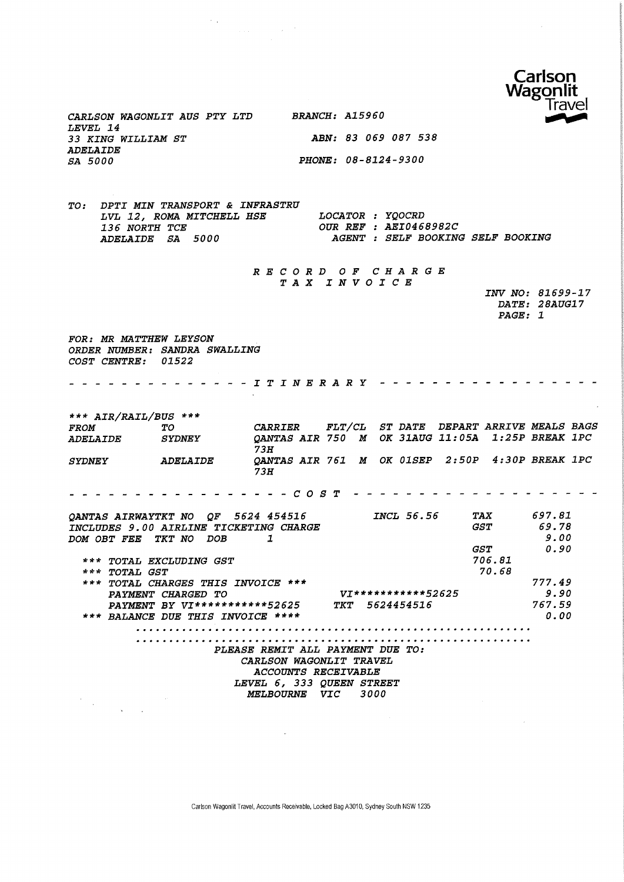

CARLSON MAGONLIT AUS PTY LTD BRANCH: A15960 LEVEL 14 33 KING WILLIAM ST ABN: 83 069 087 538 ADELAIDE SA 5000 PHONE: 08-8124-9300

 $\sim$   $\sim$ 

TO: DPTI MIN TRANSPORT & INFRASTRU LVL 12, ROMA MITCHELL HSE LOCATOR : YQOCRD 136 NORTH TCE 0UR REF : AEI0468982C<br>
ADELAIDE SA 5000 AGENT : SELF BOOKING AGENT : SELF BOOKING SELF BOOKING

 $\sim 10^{-10}$ 

RECORD OF CHARGE TAX INVOICE

|                | INV NO: 81699-17 |
|----------------|------------------|
|                | DATE: 28AUG17    |
| <i>PAGE: 1</i> |                  |
|                |                  |

FOR: MR MATTHEW LEYSON ORDER NUMBER: SANDRA SWALLING COST CENTRE: 01522

. . . . . . . . . . . . . . *I T I N E R A R Y . . . . .* .

\*\*\* AIR/RAIL/BUS \*\*\* FROM TO CARRIER FLT/CL ST\_DATE DEPART\_ARRIVE\_MEALS\_BAGS<br>ADELAIDE SYDNEY QANTAS\_AIR\_750\_M\_OK\_31AUG\_11:05A\_\_1:25P\_BREAK\_1PC QANTAS AIR 750 M OK 31AUG 11:05A 1:25P BREAK 1PC 73H SYDNEY ADELAIDE QANTAS AIR 761 M OK 01SEP 2:50P 4:30P BREAK 1PC 73H COST QANTAS AIRWAYTKT NO QF 5624 454516 INCL 56.56 TAX 697.81 INCLUDES 9.00 AIRLINE TICKETING CHARGE GST 69.78 5.00 DOM OBT FEE TKT NO DOB 1 GST 0.50 \*\*\* TOTAL EXCLUDING GST 706.81 70.68 \*\*\* TOTAI, GST \*\*\* TOTAL CHARGES THIS INVOICE \*\*\* 777.49 PAYMENT CHARGED TO yj\* \* \* \* \* \* \* \* \*\* \* 52 625 5.50 PAYMENT BY VI\*\*\*\*\*\*\*\*\*\*\*52625 TKT 5624454516 767.59 \*\*\* BALANCE DUE THIS INVOICE \*\*\*\* 0.00 

> PLEASE REMIT ALL PAYMENT DUE TO: CARLSON WAGONLIT TRAVEL ACCOUNTS RECEIVABLE LEVEL 6, 333 QUEEN STREET MELBOURNE VIC 3000

Carlson Wagonllt Travel, Accounts Receivable, Locked BagA3010, Sydney South NSW 1235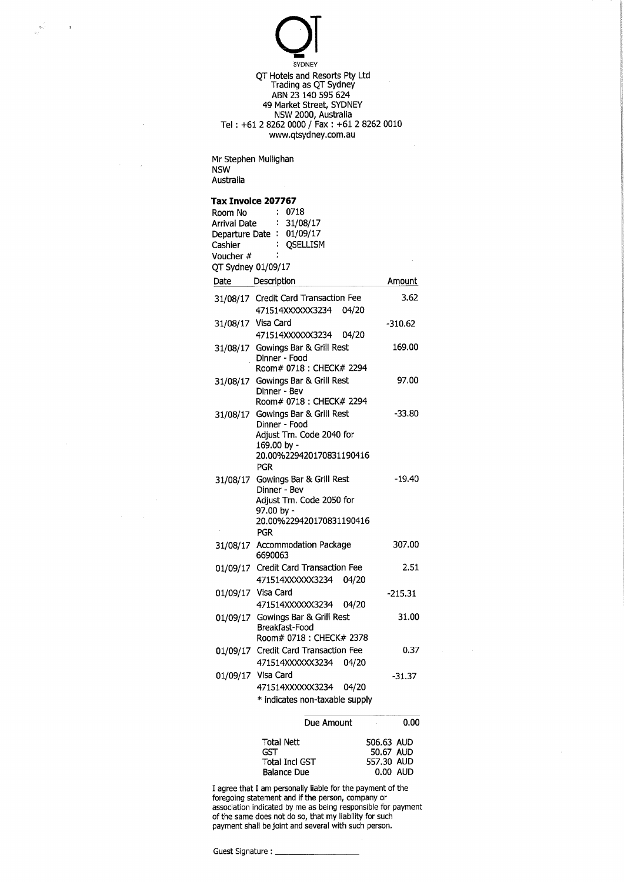$\overline{\mathrm{O}}$ SYDNEY QT Hotels and Resorts Pty Ltd rading as QT Sydney ABN 23 140 595 624 49 Market Street, SYDNEY NSW 2000, Australia Tel : +61 2 8262 0000 / Fax : +61 2 8262 0010 www.qtsydney.com.au

Mr Stephen Mullighan NSW Australia

 $\overline{3}$ 

 $\hat{\boldsymbol{\epsilon}}$ 

#### Tax Invoice 207767

| Room No            | 0718<br>t                                                                     |              |
|--------------------|-------------------------------------------------------------------------------|--------------|
| Arrival Date       | ÷.<br>31/08/17<br>Departure Date: 01/09/17                                    |              |
| Cashier            | <b>OSELLISM</b><br>÷                                                          |              |
| Voucher #          |                                                                               |              |
| QT Sydney 01/09/17 |                                                                               |              |
| Date               | Description                                                                   | Amount       |
|                    | 31/08/17 Credit Card Transaction Fee<br>471514XXXXX3234 04/20                 | 3.62         |
|                    | 31/08/17 Visa Card<br>471514XXXXX3234<br>04/20                                | -310.62      |
| 31/08/17           | Gowings Bar & Grill Rest<br>Dinner - Food                                     | 169.00       |
|                    | Room# 0718 ; CHECK# 2294                                                      |              |
|                    | 31/08/17 Gowings Bar & Grill Rest<br>Dinner - Bev<br>Room# 0718 : CHECK# 2294 | 97.00        |
| 31/08/17           | Gowings Bar & Grill Rest                                                      | $-33.80$     |
|                    | Dinner - Food                                                                 |              |
|                    | Adjust Trn. Code 2040 for<br>169.00 by -                                      |              |
|                    | 20.00%229420170831190416                                                      |              |
|                    | PGR                                                                           |              |
| 31/08/17           | Gowings Bar & Grill Rest<br>Dinner - Bev                                      | $-19.40$     |
|                    | Adiust Trn. Code 2050 for                                                     |              |
|                    | 97.00 by -                                                                    |              |
|                    | 20.00%229420170831190416                                                      |              |
|                    | <b>PGR</b><br>Accommodation Package                                           | 307.00       |
| 31/08/17           | 6690063                                                                       |              |
|                    | 01/09/17 Credit Card Transaction Fee                                          | 2.51         |
|                    | 471514XXXXX3234<br>04/20                                                      |              |
|                    | 01/09/17 Visa Card                                                            | -215.31      |
| 01/09/17           | 471514XXXXX3234 04/20<br>Gowings Bar & Grill Rest                             | 31.00        |
|                    | Breakfast-Food                                                                |              |
|                    | Room# 0718 : CHECK# 2378                                                      |              |
|                    | 01/09/17 Credit Card Transaction Fee<br>471514XXXXXX3234 04/20                | 0.37         |
| 01/09/17           | Visa Card                                                                     | $-31.37$     |
|                    | 471514XXXXXX3234<br>04/20                                                     |              |
|                    | * indicates non-taxable supply                                                |              |
|                    | Due Amount                                                                    | 0.00         |
|                    |                                                                               |              |
|                    | Total Nett                                                                    | UI IA FA.ANZ |

| Total Nett            | 506.63 AUD |
|-----------------------|------------|
| GST                   | 50.67 AUD  |
| <b>Total Incl GST</b> | 557.30 AUD |
| <b>Balance Due</b>    | 0.00 AUD   |

I agree that I am personally liable for the payment of the foregoing statement and if the person, company or association indicated by me as being responsible for payment of the same does not do so, that my liability for such payment shall be joint and several with such person.

Guest Signature : \_\_\_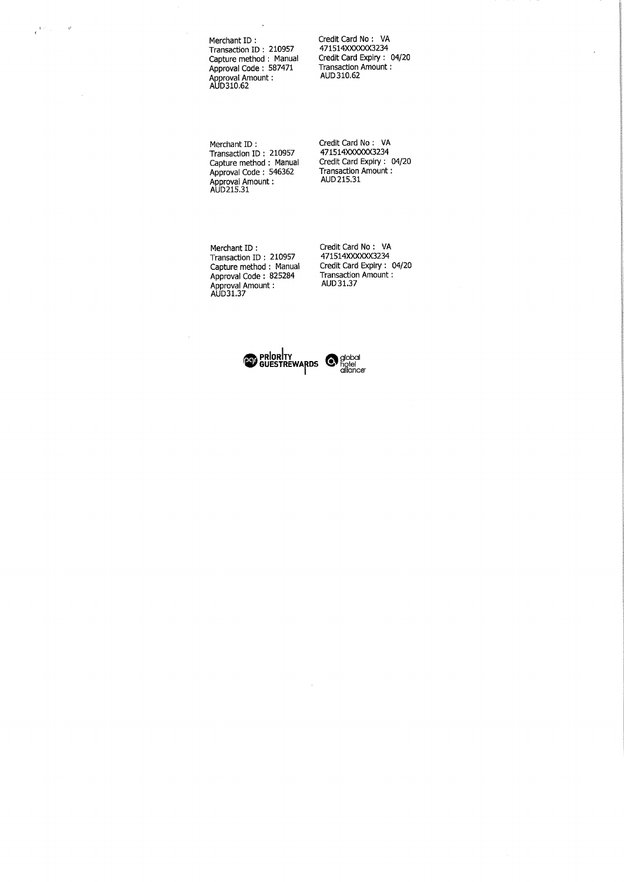$\epsilon^{(\mathrm{tot})}$  $\vec{v}$ 

 $\bar{\gamma}$ 

Merchant ID; Transaction ID : 210957 apture method : Manual Approval Code ; 587471 pproval Amount :<br>UD310.62

Credit Card No ; VA 471514XXXXXX3234 Credit Card Expiry ; 04/20 Transaction Amount; AUD 310.62

Merchant ID ; Transaction ID ; 210957 apture method : Manual Approval Code : 546362 .pproval Amount :<br>UD215.31

redit Card No : VA 471514XXXXXX3234 Credit Card Expiry : 04/20 Transaction Amount: AUD 215,31

Merchant ID : Transaction ID ; 210957 Capture method : Manual Approval Code : 825284 Approval Amount: AUD31.37

Credit Card No : VA 471514XXXXXX3234 Credit Card Expiry : 04/20 Transaction Amount: AUD 31.37

**GUESTREWARDS** Spool

 $\ddot{\phantom{a}}$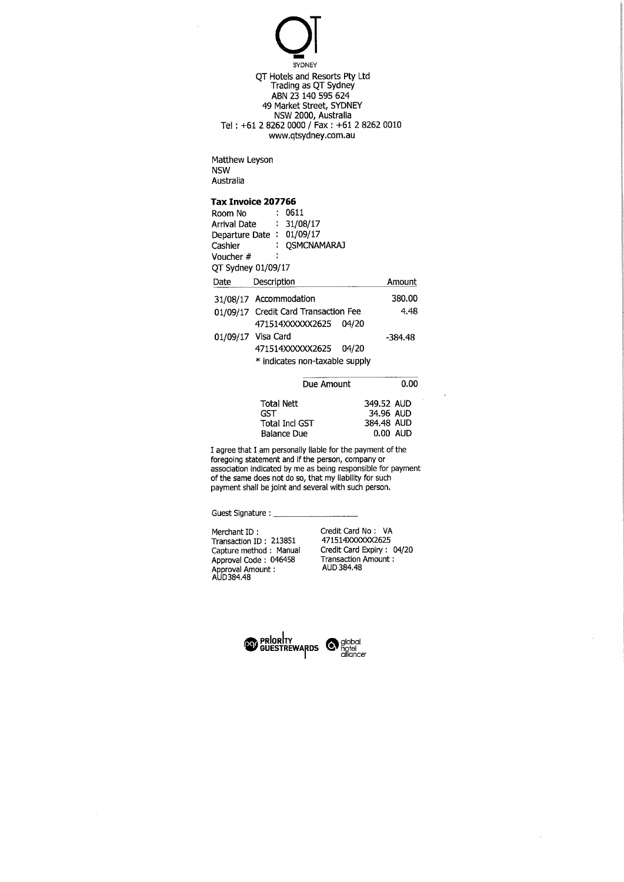$\overline{\mathsf{Q}}$ **SYDNEY** QT Hotels and Resorts Pty Ltd Trading as QT Sydney ABN 23 140 595 624 49 Market Street, SYDNEY NSW 2000, Australia Tel; +612 8262 0000 / Fax : +61 2 8262 0010 www.qtsydney.com.au

Matthew Leyson NSW Australia

#### Tax Invoice 207766

| Room No<br>Arrival Date : 31/08/17<br>Departure Date: 01/09/17<br>Cashier<br>Voucher #<br>QT Sydney 01/09/17 | $\sim 10$   | 0611<br>: OSMCNAMARAJ                |         |
|--------------------------------------------------------------------------------------------------------------|-------------|--------------------------------------|---------|
| Date                                                                                                         | Description |                                      | Amount  |
| 31/08/17 Accommodation                                                                                       |             |                                      | 380,00  |
|                                                                                                              |             | 01/09/17 Credit Card Transaction Fee | 4.48    |
|                                                                                                              |             | 471514XXXXX2625 04/20                |         |
| 01/09/17 Visa Card                                                                                           |             |                                      | -384.48 |
|                                                                                                              |             | 471514XXXXXX2625 04/20               |         |
|                                                                                                              |             | * indicates non-taxable supply       |         |
|                                                                                                              |             |                                      |         |

| Due Amount            | 0.00       |
|-----------------------|------------|
| <b>Total Nett</b>     | 349.52 AUD |
| GST                   | 34.96 AUD  |
| <b>Total Incl GST</b> | 384.48 AUD |
| <b>Balance Due</b>    | $0.00$ AUD |

I agree that I am personally liable for the payment of the foregoing statement and if the person, company or association indicated by me as being responsible for payment of the same does not do so, that my liability for such payment shall be joint and several with such person.

Guest Signature: \_\_\_

 $\sim$ 

Merchant ID : Credit Card No : VA Transaction ID: 213851<br>Capture method: Manual Approval Code ; 046458 Transaction Amount: Approval Amount: AUD 384,48 AUD384.48

Capture method ; Manual Credit Card Expiry : 04/20